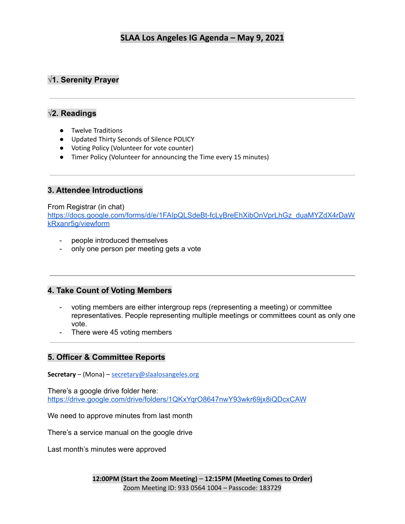# **√1. Serenity Prayer**

### **√2. Readings**

- Twelve Traditions
- Updated Thirty Seconds of Silence POLICY
- Voting Policy (Volunteer for vote counter)
- Timer Policy (Volunteer for announcing the Time every 15 minutes)

### **3. Attendee Introductions**

### From Registrar (in chat)

[https://docs.google.com/forms/d/e/1FAIpQLSdeBt-fcLyBreEhXibOnVprLhGz\\_duaMYZdX4rDaW](https://docs.google.com/forms/d/e/1FAIpQLSdeBt-fcLyBreEhXibOnVprLhGz_duaMYZdX4rDaWkRxanr5g/viewform) [kRxanr5g/viewform](https://docs.google.com/forms/d/e/1FAIpQLSdeBt-fcLyBreEhXibOnVprLhGz_duaMYZdX4rDaWkRxanr5g/viewform)

- people introduced themselves
- only one person per meeting gets a vote

### **4. Take Count of Voting Members**

- voting members are either intergroup reps (representing a meeting) or committee representatives. People representing multiple meetings or committees count as only one vote.
- There were 45 voting members

### **5. Officer & Committee Reports**

**Secretary** – (Mona) – [secretary@slaalosangeles.org](mailto:secretary@slaalosangeles.org)

There's a google drive folder here: <https://drive.google.com/drive/folders/1QKxYqrO8647nwY93wkr69jx8iQDcxCAW>

We need to approve minutes from last month

There's a service manual on the google drive

Last month's minutes were approved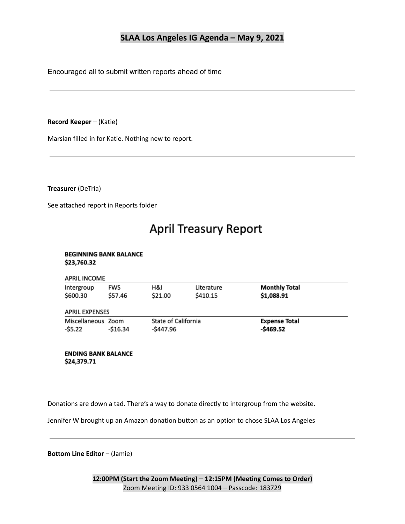Encouraged all to submit written reports ahead of time

### **Record Keeper** – (Katie)

Marsian filled in for Katie. Nothing new to report.

**Treasurer** (DeTria)

See attached report in Reports folder

# **April Treasury Report**

#### **BEGINNING BANK BALANCE** \$23,760.32

### **APRIL INCOME**

| Intergroup<br>\$600.30        | <b>FWS</b><br>\$57.46 | H&I<br>\$21.00                   | Literature<br>\$410.15 | <b>Monthly Total</b><br>\$1,088.91 |  |
|-------------------------------|-----------------------|----------------------------------|------------------------|------------------------------------|--|
| <b>APRIL EXPENSES</b>         |                       |                                  |                        |                                    |  |
| Miscellaneous Zoom<br>-\$5.22 | -\$16.34              | State of California<br>-\$447.96 |                        | <b>Expense Total</b><br>-\$469.52  |  |

#### **ENDING BANK BALANCE** \$24,379.71

Donations are down a tad. There's a way to donate directly to intergroup from the website.

Jennifer W brought up an Amazon donation button as an option to chose SLAA Los Angeles

**Bottom Line Editor** – (Jamie)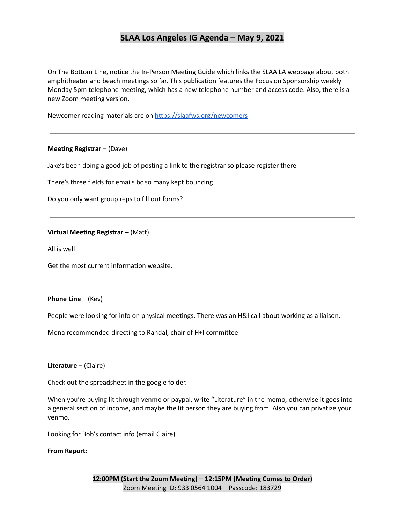On The Bottom Line, notice the In-Person Meeting Guide which links the SLAA LA webpage about both amphitheater and beach meetings so far. This publication features the Focus on Sponsorship weekly Monday 5pm telephone meeting, which has a new telephone number and access code. Also, there is a new Zoom meeting version.

Newcomer reading materials are on <https://slaafws.org/newcomers>

#### **Meeting Registrar** – (Dave)

Jake's been doing a good job of posting a link to the registrar so please register there

There's three fields for emails bc so many kept bouncing

Do you only want group reps to fill out forms?

#### **Virtual Meeting Registrar** – (Matt)

All is well

Get the most current information website.

#### **Phone Line** – (Kev)

People were looking for info on physical meetings. There was an H&I call about working as a liaison.

Mona recommended directing to Randal, chair of H+I committee

#### **Literature** – (Claire)

Check out the spreadsheet in the google folder.

When you're buying lit through venmo or paypal, write "Literature" in the memo, otherwise it goes into a general section of income, and maybe the lit person they are buying from. Also you can privatize your venmo.

Looking for Bob's contact info (email Claire)

#### **From Report:**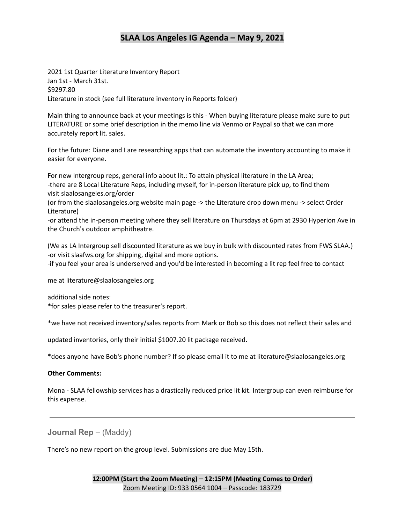2021 1st Quarter Literature Inventory Report Jan 1st - March 31st. \$9297.80 Literature in stock (see full literature inventory in Reports folder)

Main thing to announce back at your meetings is this - When buying literature please make sure to put LITERATURE or some brief description in the memo line via Venmo or Paypal so that we can more accurately report lit. sales.

For the future: Diane and I are researching apps that can automate the inventory accounting to make it easier for everyone.

For new Intergroup reps, general info about lit.: To attain physical literature in the LA Area; -there are 8 Local Literature Reps, including myself, for in-person literature pick up, to find them visit slaalosangeles.org/order

(or from the slaalosangeles.org website main page -> the Literature drop down menu -> select Order Literature)

-or attend the in-person meeting where they sell literature on Thursdays at 6pm at 2930 Hyperion Ave in the Church's outdoor amphitheatre.

(We as LA Intergroup sell discounted literature as we buy in bulk with discounted rates from FWS SLAA.) -or visit slaafws.org for shipping, digital and more options.

-if you feel your area is underserved and you'd be interested in becoming a lit rep feel free to contact

me at literature@slaalosangeles.org

additional side notes:

\*for sales please refer to the treasurer's report.

\*we have not received inventory/sales reports from Mark or Bob so this does not reflect their sales and

updated inventories, only their initial \$1007.20 lit package received.

\*does anyone have Bob's phone number? If so please email it to me at literature@slaalosangeles.org

#### **Other Comments:**

Mona - SLAA fellowship services has a drastically reduced price lit kit. Intergroup can even reimburse for this expense.

**Journal Rep** – (Maddy)

There's no new report on the group level. Submissions are due May 15th.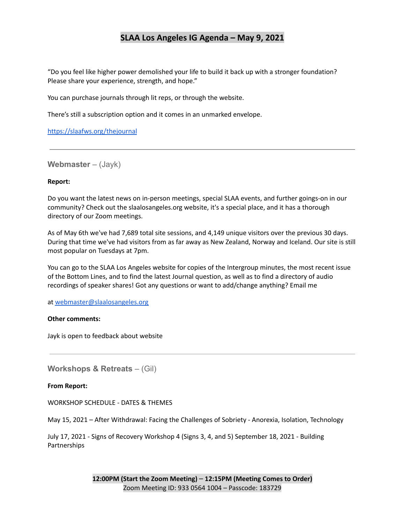"Do you feel like higher power demolished your life to build it back up with a stronger foundation? Please share your experience, strength, and hope."

You can purchase journals through lit reps, or through the website.

There's still a subscription option and it comes in an unmarked envelope.

<https://slaafws.org/thejournal>

**Webmaster** – (Jayk)

#### **Report:**

Do you want the latest news on in-person meetings, special SLAA events, and further goings-on in our community? Check out the slaalosangeles.org website, it's a special place, and it has a thorough directory of our Zoom meetings.

As of May 6th we've had 7,689 total site sessions, and 4,149 unique visitors over the previous 30 days. During that time we've had visitors from as far away as New Zealand, Norway and Iceland. Our site is still most popular on Tuesdays at 7pm.

You can go to the SLAA Los Angeles website for copies of the Intergroup minutes, the most recent issue of the Bottom Lines, and to find the latest Journal question, as well as to find a directory of audio recordings of speaker shares! Got any questions or want to add/change anything? Email me

at [webmaster@slaalosangeles.org](mailto:webmaster@slaalosangeles.org)

#### **Other comments:**

Jayk is open to feedback about website

**Workshops & Retreats** – (Gil)

#### **From Report:**

WORKSHOP SCHEDULE - DATES & THEMES

May 15, 2021 – After Withdrawal: Facing the Challenges of Sobriety - Anorexia, Isolation, Technology

July 17, 2021 - Signs of Recovery Workshop 4 (Signs 3, 4, and 5) September 18, 2021 - Building Partnerships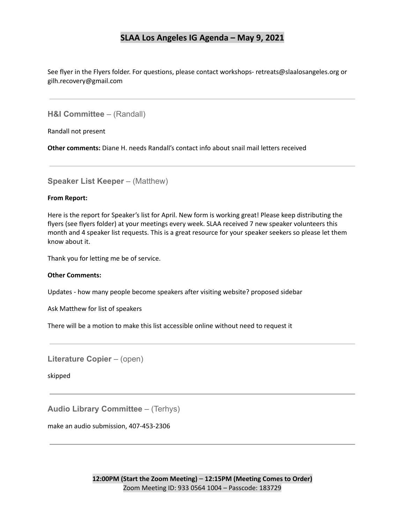See flyer in the Flyers folder. For questions, please contact workshops- retreats@slaalosangeles.org or gilh.recovery@gmail.com

**H&I Committee** – (Randall)

Randall not present

**Other comments:** Diane H. needs Randall's contact info about snail mail letters received

**Speaker List Keeper** – (Matthew)

#### **From Report:**

Here is the report for Speaker's list for April. New form is working great! Please keep distributing the flyers (see flyers folder) at your meetings every week. SLAA received 7 new speaker volunteers this month and 4 speaker list requests. This is a great resource for your speaker seekers so please let them know about it.

Thank you for letting me be of service.

#### **Other Comments:**

Updates - how many people become speakers after visiting website? proposed sidebar

Ask Matthew for list of speakers

There will be a motion to make this list accessible online without need to request it

**Literature Copier** – (open)

skipped

**Audio Library Committee** – (Terhys)

make an audio submission, 407-453-2306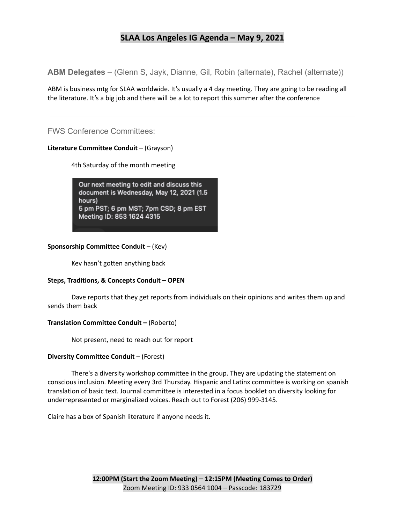**ABM Delegates** – (Glenn S, Jayk, Dianne, Gil, Robin (alternate), Rachel (alternate))

ABM is business mtg for SLAA worldwide. It's usually a 4 day meeting. They are going to be reading all the literature. It's a big job and there will be a lot to report this summer after the conference

### FWS Conference Committees:

### **Literature Committee Conduit** – (Grayson)

4th Saturday of the month meeting

Our next meeting to edit and discuss this document is Wednesday, May 12, 2021 (1.5 hours) 5 pm PST; 6 pm MST; 7pm CSD; 8 pm EST Meeting ID: 853 1624 4315

### **Sponsorship Committee Conduit** – (Kev)

Kev hasn't gotten anything back

### **Steps, Traditions, & Concepts Conduit – OPEN**

Dave reports that they get reports from individuals on their opinions and writes them up and sends them back

### **Translation Committee Conduit –** (Roberto)

Not present, need to reach out for report

### **Diversity Committee Conduit** – (Forest)

There's a diversity workshop committee in the group. They are updating the statement on conscious inclusion. Meeting every 3rd Thursday. Hispanic and Latinx committee is working on spanish translation of basic text. Journal committee is interested in a focus booklet on diversity looking for underrepresented or marginalized voices. Reach out to Forest (206) 999-3145.

Claire has a box of Spanish literature if anyone needs it.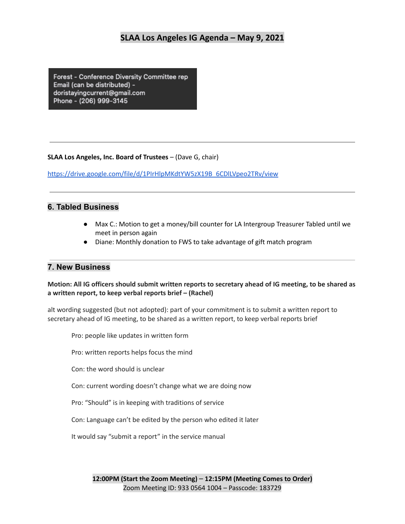Forest - Conference Diversity Committee rep Email (can be distributed) doristayingcurrent@gmail.com Phone - (206) 999-3145

### **SLAA Los Angeles, Inc. Board of Trustees** – (Dave G, chair)

[https://drive.google.com/file/d/1PIrHlpMKdtYW5zX19B\\_6CDlLVpeo2TRv/view](https://drive.google.com/file/d/1PIrHlpMKdtYW5zX19B_6CDlLVpeo2TRv/view)

### **6. Tabled Business**

- Max C.: Motion to get a money/bill counter for LA Intergroup Treasurer Tabled until we meet in person again
- Diane: Monthly donation to FWS to take advantage of gift match program

### **7. New Business**

### Motion: All IG officers should submit written reports to secretary ahead of IG meeting, to be shared as **a written report, to keep verbal reports brief – (Rachel)**

alt wording suggested (but not adopted): part of your commitment is to submit a written report to secretary ahead of IG meeting, to be shared as a written report, to keep verbal reports brief

Pro: people like updates in written form

Pro: written reports helps focus the mind

Con: the word should is unclear

Con: current wording doesn't change what we are doing now

Pro: "Should" is in keeping with traditions of service

Con: Language can't be edited by the person who edited it later

It would say "submit a report" in the service manual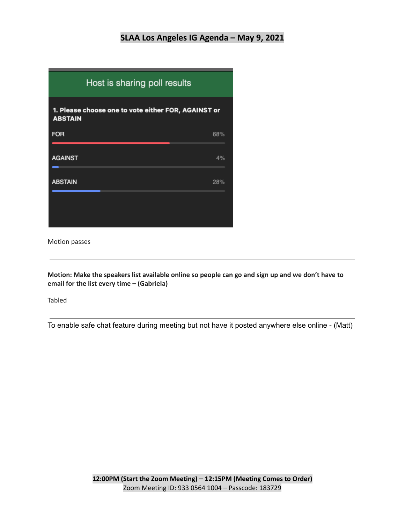

Motion passes

Motion: Make the speakers list available online so people can go and sign up and we don't have to **email for the list every time – (Gabriela)**

Tabled

To enable safe chat feature during meeting but not have it posted anywhere else online - (Matt)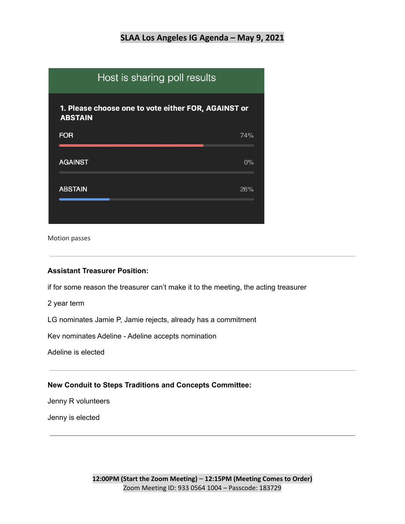| Host is sharing poll results                                          |  |       |  |  |  |
|-----------------------------------------------------------------------|--|-------|--|--|--|
| 1. Please choose one to vote either FOR, AGAINST or<br><b>ABSTAIN</b> |  |       |  |  |  |
| <b>FOR</b>                                                            |  | 74%   |  |  |  |
| <b>AGAINST</b>                                                        |  | $0\%$ |  |  |  |
| <b>ABSTAIN</b>                                                        |  | 26%   |  |  |  |
|                                                                       |  |       |  |  |  |

Motion passes

### **Assistant Treasurer Position:**

if for some reason the treasurer can't make it to the meeting, the acting treasurer

2 year term

LG nominates Jamie P, Jamie rejects, already has a commitment

Kev nominates Adeline - Adeline accepts nomination

Adeline is elected

### **New Conduit to Steps Traditions and Concepts Committee:**

Jenny R volunteers

Jenny is elected